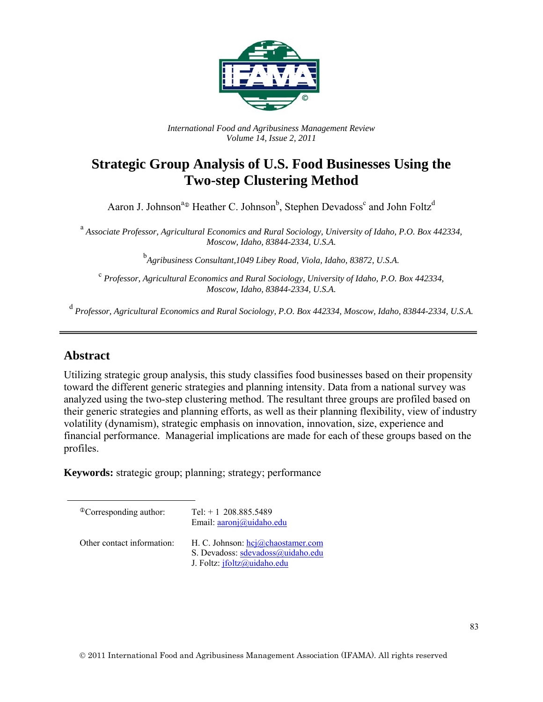

*International Food and Agribusiness Management Review Volume 14, Issue 2, 2011*

# **Strategic Group Analysis of U.S. Food Businesses Using the Two-step Clustering Method**

Aaron J. Johnson<sup>a</sup><sup>®</sup> Heather C. Johnson<sup>b</sup>, Stephen Devadoss<sup>c</sup> and John Foltz<sup>d</sup>

 a *Associate Professor, Agricultural Economics and Rural Sociology, University of Idaho, P.O. Box 442334, Moscow, Idaho, 83844-2334, U.S.A.* 

b *Agribusiness Consultant,1049 Libey Road, Viola, Idaho, 83872, U.S.A.* 

<sup>c</sup> *Professor, Agricultural Economics and Rural Sociology, University of Idaho, P.O. Box 442334, Moscow, Idaho, 83844-2334, U.S.A.* 

<sup>d</sup> *Professor, Agricultural Economics and Rural Sociology, P.O. Box 442334, Moscow, Idaho, 83844-2334, U.S.A.*

# **Abstract**

Utilizing strategic group analysis, this study classifies food businesses based on their propensity toward the different generic strategies and planning intensity. Data from a national survey was analyzed using the two-step clustering method. The resultant three groups are profiled based on their generic strategies and planning efforts, as well as their planning flexibility, view of industry volatility (dynamism), strategic emphasis on innovation, innovation, size, experience and financial performance. Managerial implications are made for each of these groups based on the profiles.

**Keywords:** strategic group; planning; strategy; performance

 $^{\circ}$ Corresponding author: Tel: + 1 208.885.5489 Email: aaronj@uidaho.edu Other contact information: H. C. Johnson: hcj@chaostamer.com S. Devadoss: sdevadoss@uidaho.edu J. Foltz: jfoltz@uidaho.edu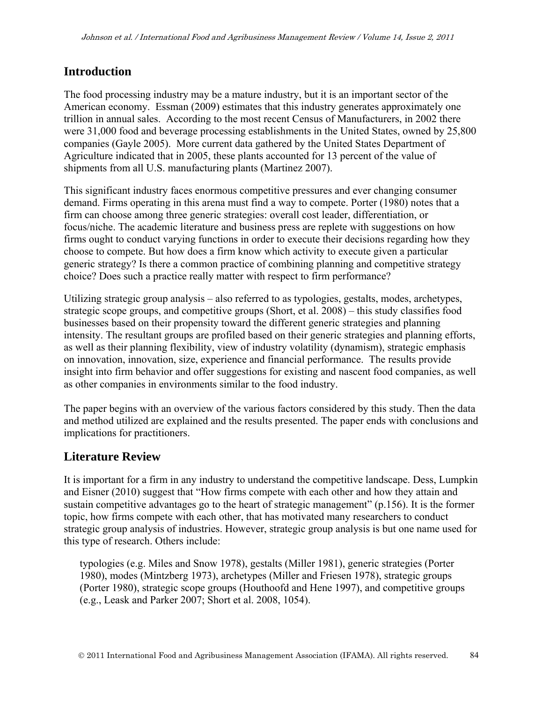# **Introduction**

The food processing industry may be a mature industry, but it is an important sector of the American economy. Essman (2009) estimates that this industry generates approximately one trillion in annual sales. According to the most recent Census of Manufacturers, in 2002 there were 31,000 food and beverage processing establishments in the United States, owned by 25,800 companies (Gayle 2005). More current data gathered by the United States Department of Agriculture indicated that in 2005, these plants accounted for 13 percent of the value of shipments from all U.S. manufacturing plants (Martinez 2007).

This significant industry faces enormous competitive pressures and ever changing consumer demand. Firms operating in this arena must find a way to compete. Porter (1980) notes that a firm can choose among three generic strategies: overall cost leader, differentiation, or focus/niche. The academic literature and business press are replete with suggestions on how firms ought to conduct varying functions in order to execute their decisions regarding how they choose to compete. But how does a firm know which activity to execute given a particular generic strategy? Is there a common practice of combining planning and competitive strategy choice? Does such a practice really matter with respect to firm performance?

Utilizing strategic group analysis – also referred to as typologies, gestalts, modes, archetypes, strategic scope groups, and competitive groups (Short, et al. 2008) – this study classifies food businesses based on their propensity toward the different generic strategies and planning intensity. The resultant groups are profiled based on their generic strategies and planning efforts, as well as their planning flexibility, view of industry volatility (dynamism), strategic emphasis on innovation, innovation, size, experience and financial performance. The results provide insight into firm behavior and offer suggestions for existing and nascent food companies, as well as other companies in environments similar to the food industry.

The paper begins with an overview of the various factors considered by this study. Then the data and method utilized are explained and the results presented. The paper ends with conclusions and implications for practitioners.

# **Literature Review**

It is important for a firm in any industry to understand the competitive landscape. Dess, Lumpkin and Eisner (2010) suggest that "How firms compete with each other and how they attain and sustain competitive advantages go to the heart of strategic management" (p.156). It is the former topic, how firms compete with each other, that has motivated many researchers to conduct strategic group analysis of industries. However, strategic group analysis is but one name used for this type of research. Others include:

typologies (e.g. Miles and Snow 1978), gestalts (Miller 1981), generic strategies (Porter 1980), modes (Mintzberg 1973), archetypes (Miller and Friesen 1978), strategic groups (Porter 1980), strategic scope groups (Houthoofd and Hene 1997), and competitive groups (e.g., Leask and Parker 2007; Short et al. 2008, 1054).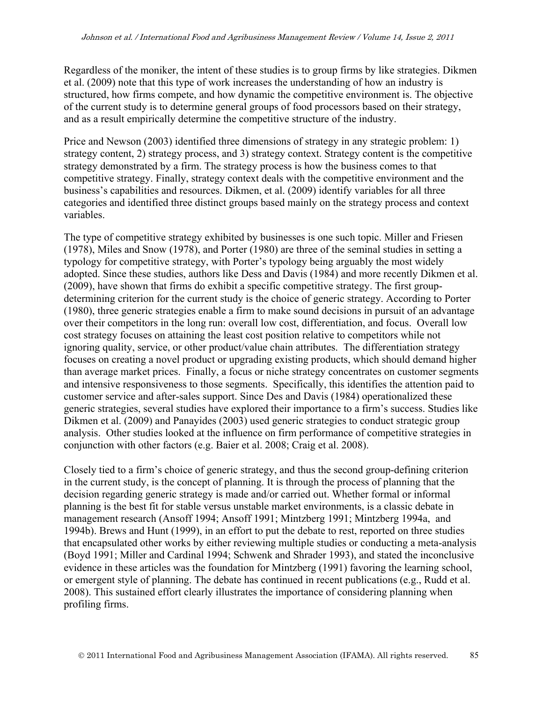Regardless of the moniker, the intent of these studies is to group firms by like strategies. Dikmen et al. (2009) note that this type of work increases the understanding of how an industry is structured, how firms compete, and how dynamic the competitive environment is. The objective of the current study is to determine general groups of food processors based on their strategy, and as a result empirically determine the competitive structure of the industry.

Price and Newson (2003) identified three dimensions of strategy in any strategic problem: 1) strategy content, 2) strategy process, and 3) strategy context. Strategy content is the competitive strategy demonstrated by a firm. The strategy process is how the business comes to that competitive strategy. Finally, strategy context deals with the competitive environment and the business's capabilities and resources. Dikmen, et al. (2009) identify variables for all three categories and identified three distinct groups based mainly on the strategy process and context variables.

The type of competitive strategy exhibited by businesses is one such topic. Miller and Friesen (1978), Miles and Snow (1978), and Porter (1980) are three of the seminal studies in setting a typology for competitive strategy, with Porter's typology being arguably the most widely adopted. Since these studies, authors like Dess and Davis (1984) and more recently Dikmen et al. (2009), have shown that firms do exhibit a specific competitive strategy. The first groupdetermining criterion for the current study is the choice of generic strategy. According to Porter (1980), three generic strategies enable a firm to make sound decisions in pursuit of an advantage over their competitors in the long run: overall low cost, differentiation, and focus. Overall low cost strategy focuses on attaining the least cost position relative to competitors while not ignoring quality, service, or other product/value chain attributes. The differentiation strategy focuses on creating a novel product or upgrading existing products, which should demand higher than average market prices. Finally, a focus or niche strategy concentrates on customer segments and intensive responsiveness to those segments. Specifically, this identifies the attention paid to customer service and after-sales support. Since Des and Davis (1984) operationalized these generic strategies, several studies have explored their importance to a firm's success. Studies like Dikmen et al. (2009) and Panayides (2003) used generic strategies to conduct strategic group analysis. Other studies looked at the influence on firm performance of competitive strategies in conjunction with other factors (e.g. Baier et al. 2008; Craig et al. 2008).

Closely tied to a firm's choice of generic strategy, and thus the second group-defining criterion in the current study, is the concept of planning. It is through the process of planning that the decision regarding generic strategy is made and/or carried out. Whether formal or informal planning is the best fit for stable versus unstable market environments, is a classic debate in management research (Ansoff 1994; Ansoff 1991; Mintzberg 1991; Mintzberg 1994a, and 1994b). Brews and Hunt (1999), in an effort to put the debate to rest, reported on three studies that encapsulated other works by either reviewing multiple studies or conducting a meta-analysis (Boyd 1991; Miller and Cardinal 1994; Schwenk and Shrader 1993), and stated the inconclusive evidence in these articles was the foundation for Mintzberg (1991) favoring the learning school, or emergent style of planning. The debate has continued in recent publications (e.g., Rudd et al. 2008). This sustained effort clearly illustrates the importance of considering planning when profiling firms.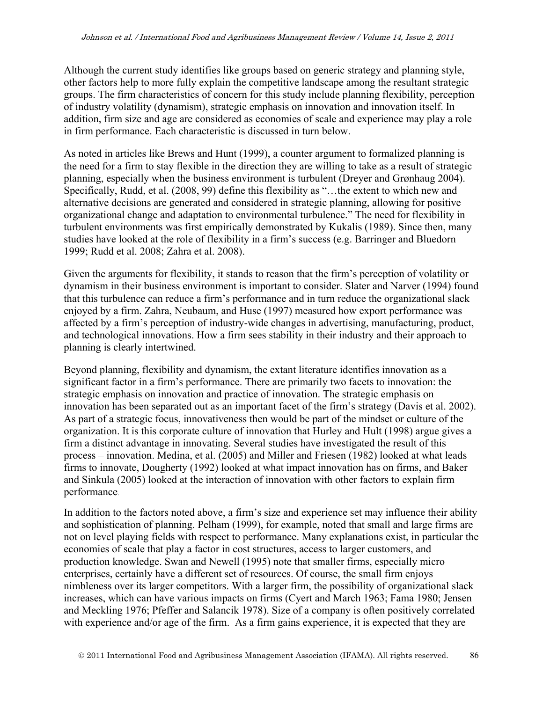Although the current study identifies like groups based on generic strategy and planning style, other factors help to more fully explain the competitive landscape among the resultant strategic groups. The firm characteristics of concern for this study include planning flexibility, perception of industry volatility (dynamism), strategic emphasis on innovation and innovation itself. In addition, firm size and age are considered as economies of scale and experience may play a role in firm performance. Each characteristic is discussed in turn below.

As noted in articles like Brews and Hunt (1999), a counter argument to formalized planning is the need for a firm to stay flexible in the direction they are willing to take as a result of strategic planning, especially when the business environment is turbulent (Dreyer and Grønhaug 2004). Specifically, Rudd, et al. (2008, 99) define this flexibility as "…the extent to which new and alternative decisions are generated and considered in strategic planning, allowing for positive organizational change and adaptation to environmental turbulence." The need for flexibility in turbulent environments was first empirically demonstrated by Kukalis (1989). Since then, many studies have looked at the role of flexibility in a firm's success (e.g. Barringer and Bluedorn 1999; Rudd et al. 2008; Zahra et al. 2008).

Given the arguments for flexibility, it stands to reason that the firm's perception of volatility or dynamism in their business environment is important to consider. Slater and Narver (1994) found that this turbulence can reduce a firm's performance and in turn reduce the organizational slack enjoyed by a firm. Zahra, Neubaum, and Huse (1997) measured how export performance was affected by a firm's perception of industry-wide changes in advertising, manufacturing, product, and technological innovations. How a firm sees stability in their industry and their approach to planning is clearly intertwined.

Beyond planning, flexibility and dynamism, the extant literature identifies innovation as a significant factor in a firm's performance. There are primarily two facets to innovation: the strategic emphasis on innovation and practice of innovation. The strategic emphasis on innovation has been separated out as an important facet of the firm's strategy (Davis et al. 2002). As part of a strategic focus, innovativeness then would be part of the mindset or culture of the organization. It is this corporate culture of innovation that Hurley and Hult (1998) argue gives a firm a distinct advantage in innovating. Several studies have investigated the result of this process – innovation. Medina, et al. (2005) and Miller and Friesen (1982) looked at what leads firms to innovate, Dougherty (1992) looked at what impact innovation has on firms, and Baker and Sinkula (2005) looked at the interaction of innovation with other factors to explain firm performance.

In addition to the factors noted above, a firm's size and experience set may influence their ability and sophistication of planning. Pelham (1999), for example, noted that small and large firms are not on level playing fields with respect to performance. Many explanations exist, in particular the economies of scale that play a factor in cost structures, access to larger customers, and production knowledge. Swan and Newell (1995) note that smaller firms, especially micro enterprises, certainly have a different set of resources. Of course, the small firm enjoys nimbleness over its larger competitors. With a larger firm, the possibility of organizational slack increases, which can have various impacts on firms (Cyert and March 1963; Fama 1980; Jensen and Meckling 1976; Pfeffer and Salancik 1978). Size of a company is often positively correlated with experience and/or age of the firm. As a firm gains experience, it is expected that they are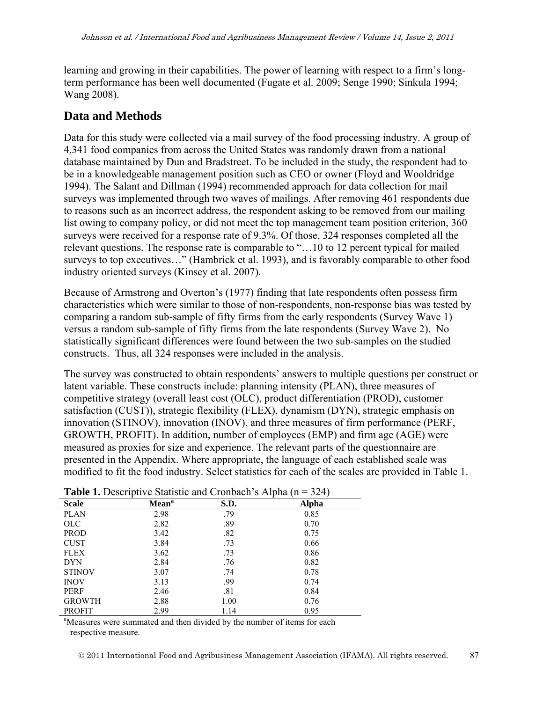learning and growing in their capabilities. The power of learning with respect to a firm's longterm performance has been well documented (Fugate et al. 2009; Senge 1990; Sinkula 1994; Wang 2008).

# **Data and Methods**

Data for this study were collected via a mail survey of the food processing industry. A group of 4,341 food companies from across the United States was randomly drawn from a national database maintained by Dun and Bradstreet. To be included in the study, the respondent had to be in a knowledgeable management position such as CEO or owner (Floyd and Wooldridge 1994). The Salant and Dillman (1994) recommended approach for data collection for mail surveys was implemented through two waves of mailings. After removing 461 respondents due to reasons such as an incorrect address, the respondent asking to be removed from our mailing list owing to company policy, or did not meet the top management team position criterion, 360 surveys were received for a response rate of 9.3%. Of those, 324 responses completed all the relevant questions. The response rate is comparable to "…10 to 12 percent typical for mailed surveys to top executives…" (Hambrick et al. 1993), and is favorably comparable to other food industry oriented surveys (Kinsey et al. 2007).

Because of Armstrong and Overton's (1977) finding that late respondents often possess firm characteristics which were similar to those of non-respondents, non-response bias was tested by comparing a random sub-sample of fifty firms from the early respondents (Survey Wave 1) versus a random sub-sample of fifty firms from the late respondents (Survey Wave 2). No statistically significant differences were found between the two sub-samples on the studied constructs. Thus, all 324 responses were included in the analysis.

The survey was constructed to obtain respondents' answers to multiple questions per construct or latent variable. These constructs include: planning intensity (PLAN), three measures of competitive strategy (overall least cost (OLC), product differentiation (PROD), customer satisfaction (CUST)), strategic flexibility (FLEX), dynamism (DYN), strategic emphasis on innovation (STINOV), innovation (INOV), and three measures of firm performance (PERF, GROWTH, PROFIT). In addition, number of employees (EMP) and firm age (AGE) were measured as proxies for size and experience. The relevant parts of the questionnaire are presented in the Appendix. Where appropriate, the language of each established scale was modified to fit the food industry. Select statistics for each of the scales are provided in Table 1.

|               | <b>Table 1:</b> Descriptive blanshe and cronoach starping (if<br><i>J –</i> ⊔ |      |       |  |  |  |  |  |
|---------------|-------------------------------------------------------------------------------|------|-------|--|--|--|--|--|
| <b>Scale</b>  | Mean <sup>a</sup>                                                             | S.D. | Alpha |  |  |  |  |  |
| <b>PLAN</b>   | 2.98                                                                          | .79  | 0.85  |  |  |  |  |  |
| <b>OLC</b>    | 2.82                                                                          | .89  | 0.70  |  |  |  |  |  |
| <b>PROD</b>   | 3.42                                                                          | .82  | 0.75  |  |  |  |  |  |
| <b>CUST</b>   | 3.84                                                                          | .73  | 0.66  |  |  |  |  |  |
| FLEX          | 3.62                                                                          | .73  | 0.86  |  |  |  |  |  |
| <b>DYN</b>    | 2.84                                                                          | .76  | 0.82  |  |  |  |  |  |
| <b>STINOV</b> | 3.07                                                                          | .74  | 0.78  |  |  |  |  |  |
| <b>INOV</b>   | 3.13                                                                          | .99  | 0.74  |  |  |  |  |  |
| PERF          | 2.46                                                                          | .81  | 0.84  |  |  |  |  |  |
| <b>GROWTH</b> | 2.88                                                                          | 1.00 | 0.76  |  |  |  |  |  |
| <b>PROFIT</b> | 2.99                                                                          | 1.14 | 0.95  |  |  |  |  |  |

**Table 1.** Descriptive Statistic and Cronbach's Alpha (n = 324)

<sup>a</sup>Measures were summated and then divided by the number of items for each respective measure.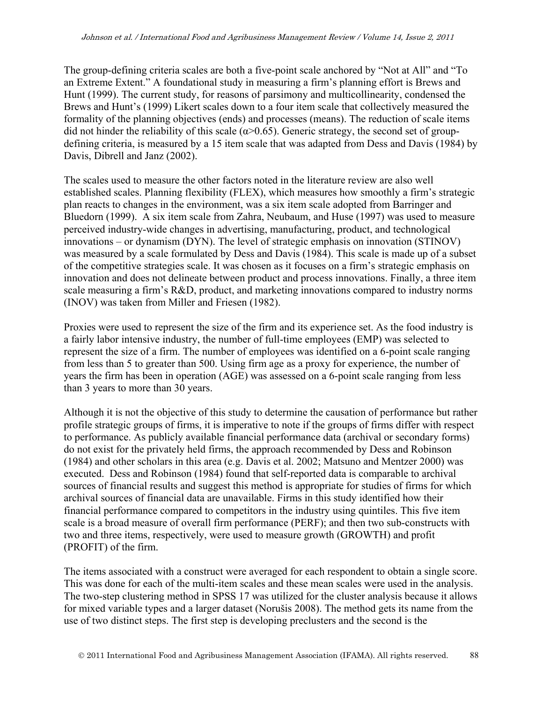The group-defining criteria scales are both a five-point scale anchored by "Not at All" and "To an Extreme Extent." A foundational study in measuring a firm's planning effort is Brews and Hunt (1999). The current study, for reasons of parsimony and multicollinearity, condensed the Brews and Hunt's (1999) Likert scales down to a four item scale that collectively measured the formality of the planning objectives (ends) and processes (means). The reduction of scale items did not hinder the reliability of this scale ( $\alpha$ >0.65). Generic strategy, the second set of groupdefining criteria, is measured by a 15 item scale that was adapted from Dess and Davis (1984) by Davis, Dibrell and Janz (2002).

The scales used to measure the other factors noted in the literature review are also well established scales. Planning flexibility (FLEX), which measures how smoothly a firm's strategic plan reacts to changes in the environment, was a six item scale adopted from Barringer and Bluedorn (1999). A six item scale from Zahra, Neubaum, and Huse (1997) was used to measure perceived industry-wide changes in advertising, manufacturing, product, and technological innovations – or dynamism (DYN). The level of strategic emphasis on innovation (STINOV) was measured by a scale formulated by Dess and Davis (1984). This scale is made up of a subset of the competitive strategies scale. It was chosen as it focuses on a firm's strategic emphasis on innovation and does not delineate between product and process innovations. Finally, a three item scale measuring a firm's R&D, product, and marketing innovations compared to industry norms (INOV) was taken from Miller and Friesen (1982).

Proxies were used to represent the size of the firm and its experience set. As the food industry is a fairly labor intensive industry, the number of full-time employees (EMP) was selected to represent the size of a firm. The number of employees was identified on a 6-point scale ranging from less than 5 to greater than 500. Using firm age as a proxy for experience, the number of years the firm has been in operation (AGE) was assessed on a 6-point scale ranging from less than 3 years to more than 30 years.

Although it is not the objective of this study to determine the causation of performance but rather profile strategic groups of firms, it is imperative to note if the groups of firms differ with respect to performance. As publicly available financial performance data (archival or secondary forms) do not exist for the privately held firms, the approach recommended by Dess and Robinson (1984) and other scholars in this area (e.g. Davis et al. 2002; Matsuno and Mentzer 2000) was executed. Dess and Robinson (1984) found that self-reported data is comparable to archival sources of financial results and suggest this method is appropriate for studies of firms for which archival sources of financial data are unavailable. Firms in this study identified how their financial performance compared to competitors in the industry using quintiles. This five item scale is a broad measure of overall firm performance (PERF); and then two sub-constructs with two and three items, respectively, were used to measure growth (GROWTH) and profit (PROFIT) of the firm.

The items associated with a construct were averaged for each respondent to obtain a single score. This was done for each of the multi-item scales and these mean scales were used in the analysis. The two-step clustering method in SPSS 17 was utilized for the cluster analysis because it allows for mixed variable types and a larger dataset (Norušis 2008). The method gets its name from the use of two distinct steps. The first step is developing preclusters and the second is the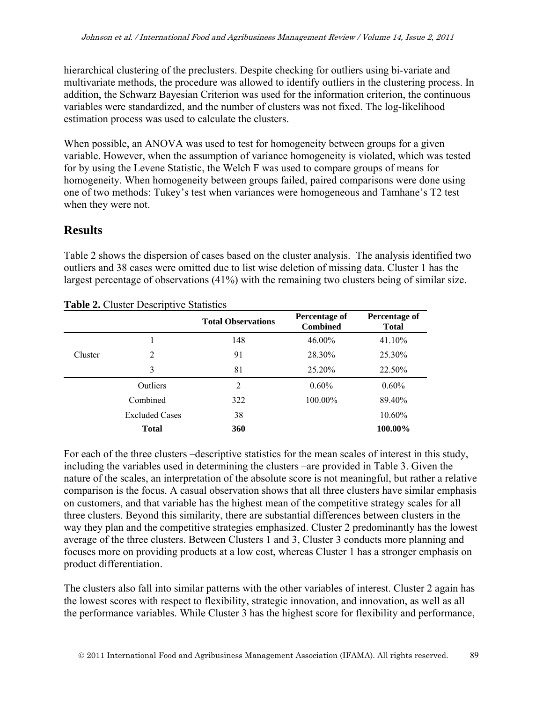hierarchical clustering of the preclusters. Despite checking for outliers using bi-variate and multivariate methods, the procedure was allowed to identify outliers in the clustering process. In addition, the Schwarz Bayesian Criterion was used for the information criterion, the continuous variables were standardized, and the number of clusters was not fixed. The log-likelihood estimation process was used to calculate the clusters.

When possible, an ANOVA was used to test for homogeneity between groups for a given variable. However, when the assumption of variance homogeneity is violated, which was tested for by using the Levene Statistic, the Welch F was used to compare groups of means for homogeneity. When homogeneity between groups failed, paired comparisons were done using one of two methods: Tukey's test when variances were homogeneous and Tamhane's T2 test when they were not.

# **Results**

Table 2 shows the dispersion of cases based on the cluster analysis. The analysis identified two outliers and 38 cases were omitted due to list wise deletion of missing data. Cluster 1 has the largest percentage of observations (41%) with the remaining two clusters being of similar size.

|         |                       | <b>Total Observations</b> | Percentage of<br><b>Combined</b> | Percentage of<br><b>Total</b> |
|---------|-----------------------|---------------------------|----------------------------------|-------------------------------|
|         | I                     | 148                       | 46.00%                           | 41.10%                        |
| Cluster | 2                     | 91                        | 28.30%                           | 25.30%                        |
|         | 3                     | 81                        | 25.20%                           | 22.50%                        |
|         | <b>Outliers</b>       | 2                         | $0.60\%$                         | $0.60\%$                      |
|         | Combined              | 322                       | 100.00%                          | 89.40%                        |
|         | <b>Excluded Cases</b> | 38                        |                                  | 10.60%                        |
|         | <b>Total</b>          | 360                       |                                  | 100.00%                       |

**Table 2.** Cluster Descriptive Statistics

For each of the three clusters –descriptive statistics for the mean scales of interest in this study, including the variables used in determining the clusters –are provided in Table 3. Given the nature of the scales, an interpretation of the absolute score is not meaningful, but rather a relative comparison is the focus. A casual observation shows that all three clusters have similar emphasis on customers, and that variable has the highest mean of the competitive strategy scales for all three clusters. Beyond this similarity, there are substantial differences between clusters in the way they plan and the competitive strategies emphasized. Cluster 2 predominantly has the lowest average of the three clusters. Between Clusters 1 and 3, Cluster 3 conducts more planning and focuses more on providing products at a low cost, whereas Cluster 1 has a stronger emphasis on product differentiation.

The clusters also fall into similar patterns with the other variables of interest. Cluster 2 again has the lowest scores with respect to flexibility, strategic innovation, and innovation, as well as all the performance variables. While Cluster 3 has the highest score for flexibility and performance,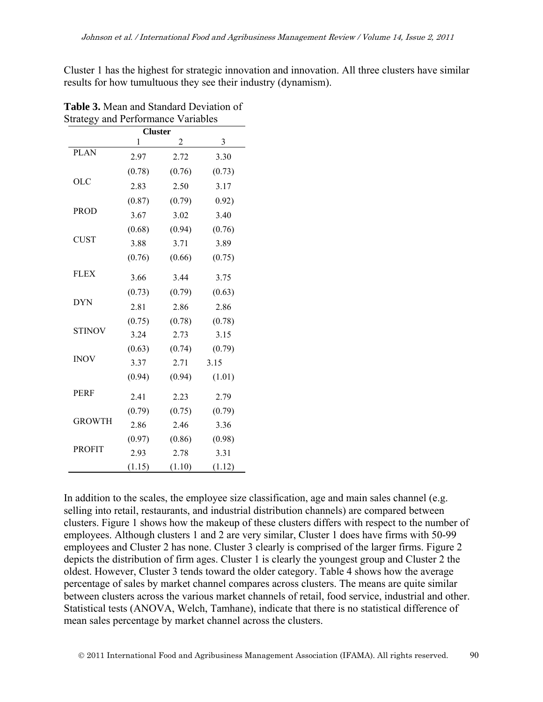Cluster 1 has the highest for strategic innovation and innovation. All three clusters have similar results for how tumultuous they see their industry (dynamism).

| <b>Cluster</b> |        |        |        |  |  |  |
|----------------|--------|--------|--------|--|--|--|
|                | 1      | 2      | 3      |  |  |  |
| <b>PLAN</b>    | 2.97   | 2.72   | 3.30   |  |  |  |
|                | (0.78) | (0.76) | (0.73) |  |  |  |
| <b>OLC</b>     | 2.83   | 2.50   | 3.17   |  |  |  |
|                | (0.87) | (0.79) | 0.92)  |  |  |  |
| <b>PROD</b>    | 3.67   | 3.02   | 3.40   |  |  |  |
|                | (0.68) | (0.94) | (0.76) |  |  |  |
| <b>CUST</b>    | 3.88   | 3.71   | 3.89   |  |  |  |
|                | (0.76) | (0.66) | (0.75) |  |  |  |
| <b>FLEX</b>    | 3.66   | 3.44   | 3.75   |  |  |  |
|                | (0.73) | (0.79) | (0.63) |  |  |  |
| <b>DYN</b>     | 2.81   | 2.86   | 2.86   |  |  |  |
|                | (0.75) | (0.78) | (0.78) |  |  |  |
| <b>STINOV</b>  | 3.24   | 2.73   | 3.15   |  |  |  |
|                | (0.63) | (0.74) | (0.79) |  |  |  |
| <b>INOV</b>    | 3.37   | 2.71   | 3.15   |  |  |  |
|                | (0.94) | (0.94) | (1.01) |  |  |  |
| <b>PERF</b>    | 2.41   | 2.23   | 2.79   |  |  |  |
|                | (0.79) | (0.75) | (0.79) |  |  |  |
| <b>GROWTH</b>  | 2.86   | 2.46   | 3.36   |  |  |  |
|                | (0.97) | (0.86) | (0.98) |  |  |  |
| <b>PROFIT</b>  | 2.93   | 2.78   | 3.31   |  |  |  |
|                | (1.15) | (1.10) | (1.12) |  |  |  |

**Table 3.** Mean and Standard Deviation of Strategy and Performance Variables

In addition to the scales, the employee size classification, age and main sales channel (e.g. selling into retail, restaurants, and industrial distribution channels) are compared between clusters. Figure 1 shows how the makeup of these clusters differs with respect to the number of employees. Although clusters 1 and 2 are very similar, Cluster 1 does have firms with 50-99 employees and Cluster 2 has none. Cluster 3 clearly is comprised of the larger firms. Figure 2 depicts the distribution of firm ages. Cluster 1 is clearly the youngest group and Cluster 2 the oldest. However, Cluster 3 tends toward the older category. Table 4 shows how the average percentage of sales by market channel compares across clusters. The means are quite similar between clusters across the various market channels of retail, food service, industrial and other. Statistical tests (ANOVA, Welch, Tamhane), indicate that there is no statistical difference of mean sales percentage by market channel across the clusters.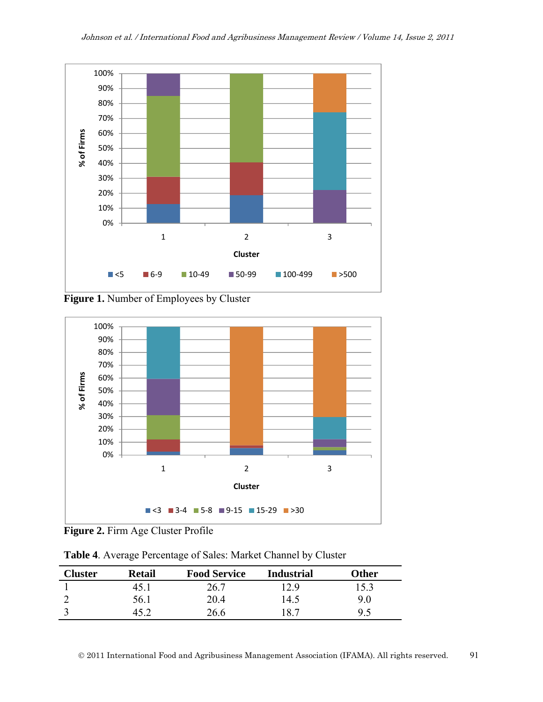

**Figure 1.** Number of Employees by Cluster



**Figure 2.** Firm Age Cluster Profile

| Table 4. Average Percentage of Sales: Market Channel by Cluster |  |  |
|-----------------------------------------------------------------|--|--|
|                                                                 |  |  |

| <b>Cluster</b> | <b>Retail</b> | <b>Food Service</b> | <b>Industrial</b> | Other |
|----------------|---------------|---------------------|-------------------|-------|
|                | 45.J          | 26.7                | 12.9              | 15.3  |
|                | 56.1          | 20.4                | 14.5              | 90    |
|                |               | 26.6                | 18.7              | 9.5   |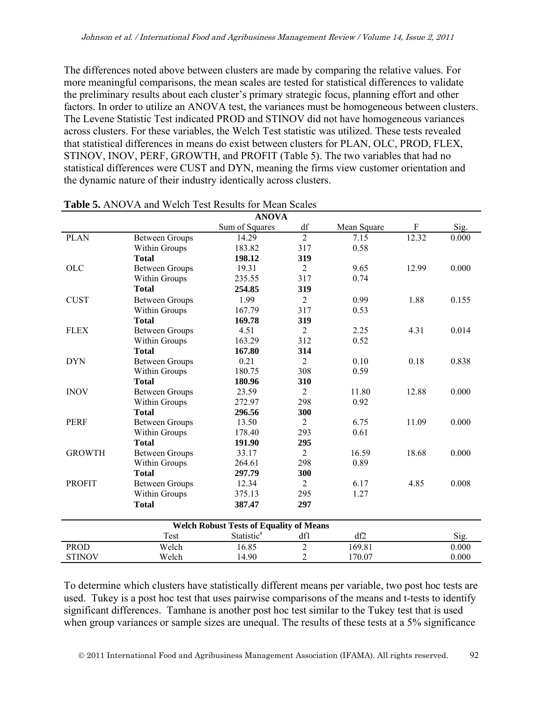The differences noted above between clusters are made by comparing the relative values. For more meaningful comparisons, the mean scales are tested for statistical differences to validate the preliminary results about each cluster's primary strategic focus, planning effort and other factors. In order to utilize an ANOVA test, the variances must be homogeneous between clusters. The Levene Statistic Test indicated PROD and STINOV did not have homogeneous variances across clusters. For these variables, the Welch Test statistic was utilized. These tests revealed that statistical differences in means do exist between clusters for PLAN, OLC, PROD, FLEX, STINOV, INOV, PERF, GROWTH, and PROFIT (Table 5). The two variables that had no statistical differences were CUST and DYN, meaning the firms view customer orientation and the dynamic nature of their industry identically across clusters.

| <b>ANOVA</b>  |                       |                                                |                |             |       |       |  |  |  |
|---------------|-----------------------|------------------------------------------------|----------------|-------------|-------|-------|--|--|--|
|               |                       | Sum of Squares                                 | df             | Mean Square | F     | Sig.  |  |  |  |
| <b>PLAN</b>   | <b>Between Groups</b> | 14.29                                          | $\overline{2}$ | 7.15        | 12.32 | 0.000 |  |  |  |
|               | Within Groups         | 183.82                                         | 317            | 0.58        |       |       |  |  |  |
|               | <b>Total</b>          | 198.12                                         | 319            |             |       |       |  |  |  |
| <b>OLC</b>    | <b>Between Groups</b> | 19.31                                          | 2              | 9.65        | 12.99 | 0.000 |  |  |  |
|               | Within Groups         | 235.55                                         | 317            | 0.74        |       |       |  |  |  |
|               | <b>Total</b>          | 254.85                                         | 319            |             |       |       |  |  |  |
| <b>CUST</b>   | <b>Between Groups</b> | 1.99                                           | $\overline{2}$ | 0.99        | 1.88  | 0.155 |  |  |  |
|               | Within Groups         | 167.79                                         | 317            | 0.53        |       |       |  |  |  |
|               | <b>Total</b>          | 169.78                                         | 319            |             |       |       |  |  |  |
| <b>FLEX</b>   | <b>Between Groups</b> | 4.51                                           | $\overline{2}$ | 2.25        | 4.31  | 0.014 |  |  |  |
|               | Within Groups         | 163.29                                         | 312            | 0.52        |       |       |  |  |  |
|               | <b>Total</b>          | 167.80                                         | 314            |             |       |       |  |  |  |
| <b>DYN</b>    | <b>Between Groups</b> | 0.21                                           | $\overline{2}$ | 0.10        | 0.18  | 0.838 |  |  |  |
|               | Within Groups         | 180.75                                         | 308            | 0.59        |       |       |  |  |  |
|               | <b>Total</b>          | 180.96                                         | 310            |             |       |       |  |  |  |
| <b>INOV</b>   | <b>Between Groups</b> | 23.59                                          | $\overline{2}$ | 11.80       | 12.88 | 0.000 |  |  |  |
|               | Within Groups         | 272.97                                         | 298            | 0.92        |       |       |  |  |  |
|               | <b>Total</b>          | 296.56                                         | 300            |             |       |       |  |  |  |
| <b>PERF</b>   | <b>Between Groups</b> | 13.50                                          | $\overline{2}$ | 6.75        | 11.09 | 0.000 |  |  |  |
|               | Within Groups         | 178.40                                         | 293            | 0.61        |       |       |  |  |  |
|               | <b>Total</b>          | 191.90                                         | 295            |             |       |       |  |  |  |
| <b>GROWTH</b> | <b>Between Groups</b> | 33.17                                          | $\overline{2}$ | 16.59       | 18.68 | 0.000 |  |  |  |
|               | Within Groups         | 264.61                                         | 298            | 0.89        |       |       |  |  |  |
|               | <b>Total</b>          | 297.79                                         | 300            |             |       |       |  |  |  |
| <b>PROFIT</b> | <b>Between Groups</b> | 12.34                                          | $\overline{2}$ | 6.17        | 4.85  | 0.008 |  |  |  |
|               | Within Groups         | 375.13                                         | 295            | 1.27        |       |       |  |  |  |
|               | <b>Total</b>          | 387.47                                         | 297            |             |       |       |  |  |  |
|               |                       |                                                |                |             |       |       |  |  |  |
|               |                       | <b>Welch Robust Tests of Equality of Means</b> |                |             |       |       |  |  |  |
|               | Test                  | Statistic <sup>a</sup>                         | df1            | df2         |       | Sig.  |  |  |  |
| <b>PROD</b>   | Welch                 | 16.85                                          | $\overline{2}$ | 169.81      |       | 0.000 |  |  |  |
| <b>STINOV</b> | Welch                 | 14.90                                          | $\overline{2}$ | 170.07      |       | 0.000 |  |  |  |

| <b>Table 5.</b> ANOVA and Welch Test Results for Mean Scales |  |
|--------------------------------------------------------------|--|
|--------------------------------------------------------------|--|

To determine which clusters have statistically different means per variable, two post hoc tests are used. Tukey is a post hoc test that uses pairwise comparisons of the means and t-tests to identify significant differences. Tamhane is another post hoc test similar to the Tukey test that is used when group variances or sample sizes are unequal. The results of these tests at a 5% significance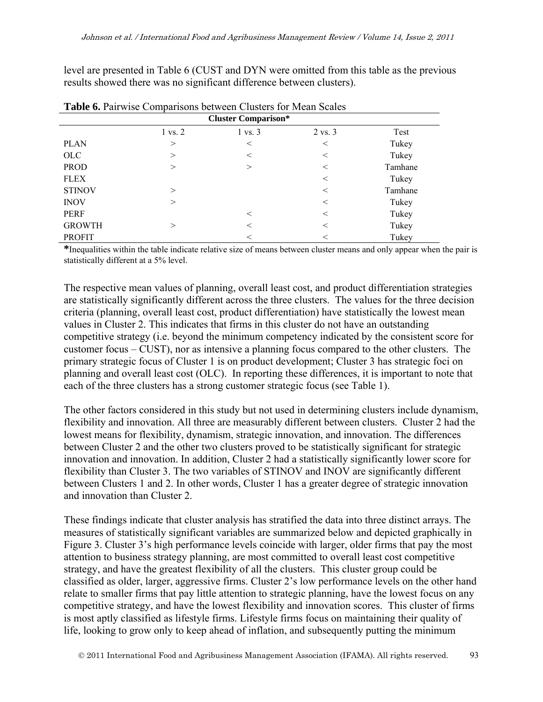level are presented in Table 6 (CUST and DYN were omitted from this table as the previous results showed there was no significant difference between clusters).

|               | <b>Cluster Comparison*</b> |         |                    |         |  |  |  |
|---------------|----------------------------|---------|--------------------|---------|--|--|--|
|               | 1 vs. 2                    | 1 vs. 3 | $2 \text{ vs. } 3$ | Test    |  |  |  |
| <b>PLAN</b>   | >                          | $\,<\,$ | $\,<$              | Tukey   |  |  |  |
| <b>OLC</b>    | $\gt$                      | $\,<\,$ | $\,<\,$            | Tukey   |  |  |  |
| <b>PROD</b>   | >                          | >       | $\,<\,$            | Tamhane |  |  |  |
| <b>FLEX</b>   |                            |         | $\,<\,$            | Tukey   |  |  |  |
| <b>STINOV</b> | $\geq$                     |         | $\,<\,$            | Tamhane |  |  |  |
| <b>INOV</b>   | $\geq$                     |         | $\,<$              | Tukey   |  |  |  |
| PERF          |                            | $\,<$   | $\,<\,$            | Tukey   |  |  |  |
| <b>GROWTH</b> | $\gt$                      | $\,<\,$ | $\,<\,$            | Tukey   |  |  |  |
| <b>PROFIT</b> |                            | $\,<$   | $\,<$              | Tukey   |  |  |  |

**Table 6.** Pairwise Comparisons between Clusters for Mean Scales

**\***Inequalities within the table indicate relative size of means between cluster means and only appear when the pair is statistically different at a 5% level.

The respective mean values of planning, overall least cost, and product differentiation strategies are statistically significantly different across the three clusters. The values for the three decision criteria (planning, overall least cost, product differentiation) have statistically the lowest mean values in Cluster 2. This indicates that firms in this cluster do not have an outstanding competitive strategy (i.e. beyond the minimum competency indicated by the consistent score for customer focus – CUST), nor as intensive a planning focus compared to the other clusters. The primary strategic focus of Cluster 1 is on product development; Cluster 3 has strategic foci on planning and overall least cost (OLC). In reporting these differences, it is important to note that each of the three clusters has a strong customer strategic focus (see Table 1).

The other factors considered in this study but not used in determining clusters include dynamism, flexibility and innovation. All three are measurably different between clusters. Cluster 2 had the lowest means for flexibility, dynamism, strategic innovation, and innovation. The differences between Cluster 2 and the other two clusters proved to be statistically significant for strategic innovation and innovation. In addition, Cluster 2 had a statistically significantly lower score for flexibility than Cluster 3. The two variables of STINOV and INOV are significantly different between Clusters 1 and 2. In other words, Cluster 1 has a greater degree of strategic innovation and innovation than Cluster 2.

These findings indicate that cluster analysis has stratified the data into three distinct arrays. The measures of statistically significant variables are summarized below and depicted graphically in Figure 3. Cluster 3's high performance levels coincide with larger, older firms that pay the most attention to business strategy planning, are most committed to overall least cost competitive strategy, and have the greatest flexibility of all the clusters. This cluster group could be classified as older, larger, aggressive firms. Cluster 2's low performance levels on the other hand relate to smaller firms that pay little attention to strategic planning, have the lowest focus on any competitive strategy, and have the lowest flexibility and innovation scores. This cluster of firms is most aptly classified as lifestyle firms. Lifestyle firms focus on maintaining their quality of life, looking to grow only to keep ahead of inflation, and subsequently putting the minimum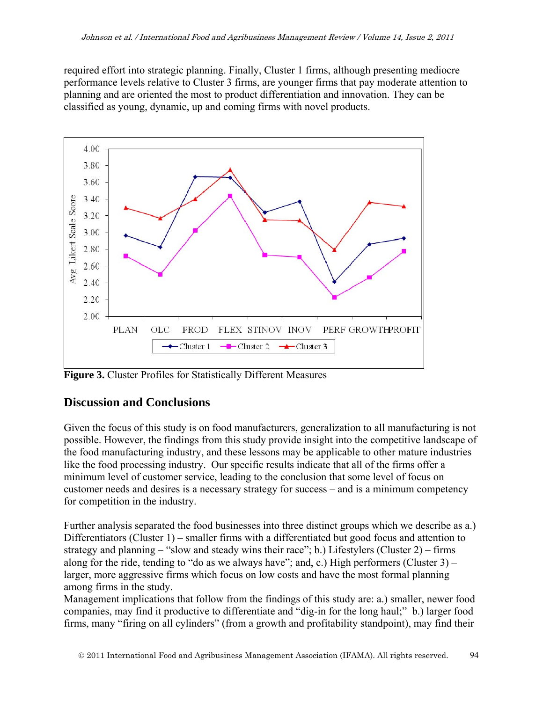required effort into strategic planning. Finally, Cluster 1 firms, although presenting mediocre performance levels relative to Cluster 3 firms, are younger firms that pay moderate attention to planning and are oriented the most to product differentiation and innovation. They can be classified as young, dynamic, up and coming firms with novel products.



**Figure 3.** Cluster Profiles for Statistically Different Measures

# **Discussion and Conclusions**

Given the focus of this study is on food manufacturers, generalization to all manufacturing is not possible. However, the findings from this study provide insight into the competitive landscape of the food manufacturing industry, and these lessons may be applicable to other mature industries like the food processing industry. Our specific results indicate that all of the firms offer a minimum level of customer service, leading to the conclusion that some level of focus on customer needs and desires is a necessary strategy for success – and is a minimum competency for competition in the industry.

Further analysis separated the food businesses into three distinct groups which we describe as a.) Differentiators (Cluster 1) – smaller firms with a differentiated but good focus and attention to strategy and planning – "slow and steady wins their race"; b.) Lifestylers (Cluster 2) – firms along for the ride, tending to "do as we always have"; and, c.) High performers (Cluster 3) – larger, more aggressive firms which focus on low costs and have the most formal planning among firms in the study.

Management implications that follow from the findings of this study are: a.) smaller, newer food companies, may find it productive to differentiate and "dig-in for the long haul;" b.) larger food firms, many "firing on all cylinders" (from a growth and profitability standpoint), may find their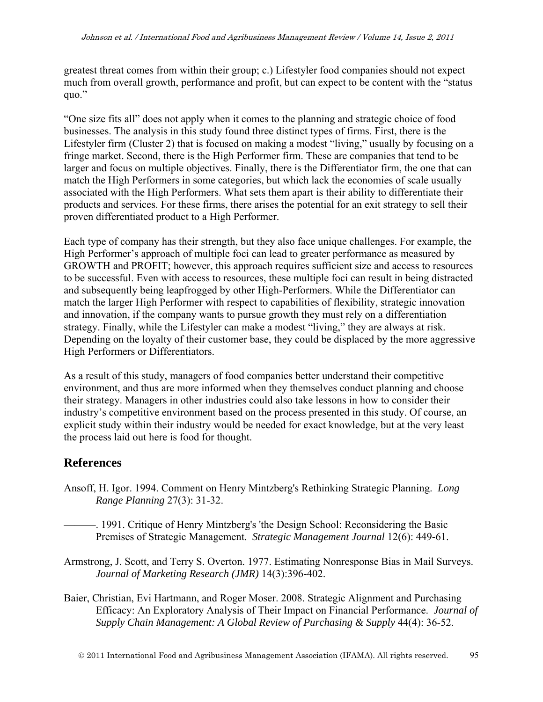greatest threat comes from within their group; c.) Lifestyler food companies should not expect much from overall growth, performance and profit, but can expect to be content with the "status quo."

"One size fits all" does not apply when it comes to the planning and strategic choice of food businesses. The analysis in this study found three distinct types of firms. First, there is the Lifestyler firm (Cluster 2) that is focused on making a modest "living," usually by focusing on a fringe market. Second, there is the High Performer firm. These are companies that tend to be larger and focus on multiple objectives. Finally, there is the Differentiator firm, the one that can match the High Performers in some categories, but which lack the economies of scale usually associated with the High Performers. What sets them apart is their ability to differentiate their products and services. For these firms, there arises the potential for an exit strategy to sell their proven differentiated product to a High Performer.

Each type of company has their strength, but they also face unique challenges. For example, the High Performer's approach of multiple foci can lead to greater performance as measured by GROWTH and PROFIT; however, this approach requires sufficient size and access to resources to be successful. Even with access to resources, these multiple foci can result in being distracted and subsequently being leapfrogged by other High-Performers. While the Differentiator can match the larger High Performer with respect to capabilities of flexibility, strategic innovation and innovation, if the company wants to pursue growth they must rely on a differentiation strategy. Finally, while the Lifestyler can make a modest "living," they are always at risk. Depending on the loyalty of their customer base, they could be displaced by the more aggressive High Performers or Differentiators.

As a result of this study, managers of food companies better understand their competitive environment, and thus are more informed when they themselves conduct planning and choose their strategy. Managers in other industries could also take lessons in how to consider their industry's competitive environment based on the process presented in this study. Of course, an explicit study within their industry would be needed for exact knowledge, but at the very least the process laid out here is food for thought.

# **References**

- Ansoff, H. Igor. 1994. Comment on Henry Mintzberg's Rethinking Strategic Planning. *Long Range Planning* 27(3): 31-32.
	- ———. 1991. Critique of Henry Mintzberg's 'the Design School: Reconsidering the Basic Premises of Strategic Management. *Strategic Management Journal* 12(6): 449-61.
- Armstrong, J. Scott, and Terry S. Overton. 1977. Estimating Nonresponse Bias in Mail Surveys. *Journal of Marketing Research (JMR)* 14(3):396-402.
- Baier, Christian, Evi Hartmann, and Roger Moser. 2008. Strategic Alignment and Purchasing Efficacy: An Exploratory Analysis of Their Impact on Financial Performance. *Journal of Supply Chain Management: A Global Review of Purchasing & Supply* 44(4): 36-52.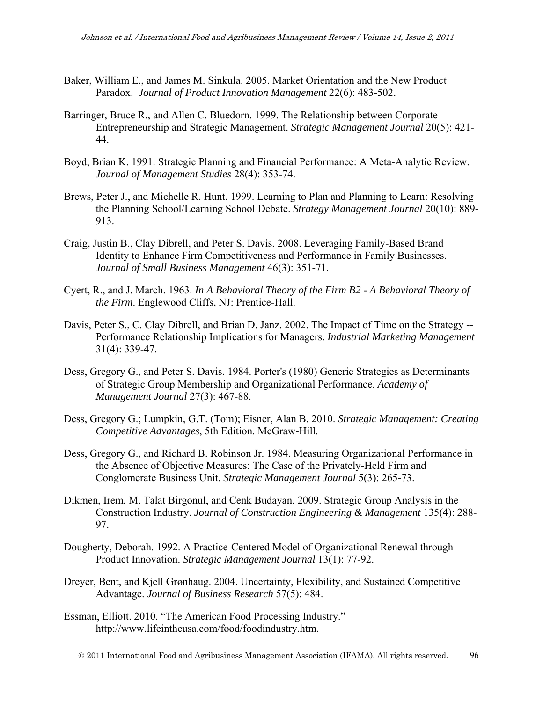- Baker, William E., and James M. Sinkula. 2005. Market Orientation and the New Product Paradox. *Journal of Product Innovation Management* 22(6): 483-502.
- Barringer, Bruce R., and Allen C. Bluedorn. 1999. The Relationship between Corporate Entrepreneurship and Strategic Management. *Strategic Management Journal* 20(5): 421- 44.
- Boyd, Brian K. 1991. Strategic Planning and Financial Performance: A Meta-Analytic Review. *Journal of Management Studies* 28(4): 353-74.
- Brews, Peter J., and Michelle R. Hunt. 1999. Learning to Plan and Planning to Learn: Resolving the Planning School/Learning School Debate. *Strategy Management Journal* 20(10): 889- 913.
- Craig, Justin B., Clay Dibrell, and Peter S. Davis. 2008. Leveraging Family-Based Brand Identity to Enhance Firm Competitiveness and Performance in Family Businesses. *Journal of Small Business Management* 46(3): 351-71.
- Cyert, R., and J. March. 1963. *In A Behavioral Theory of the Firm B2 A Behavioral Theory of the Firm*. Englewood Cliffs, NJ: Prentice-Hall.
- Davis, Peter S., C. Clay Dibrell, and Brian D. Janz. 2002. The Impact of Time on the Strategy -- Performance Relationship Implications for Managers. *Industrial Marketing Management*  31(4): 339-47.
- Dess, Gregory G., and Peter S. Davis. 1984. Porter's (1980) Generic Strategies as Determinants of Strategic Group Membership and Organizational Performance. *Academy of Management Journal* 27(3): 467-88.
- Dess, Gregory G.; Lumpkin, G.T. (Tom); Eisner, Alan B. 2010. *Strategic Management: Creating Competitive Advantages*, 5th Edition. McGraw-Hill.
- Dess, Gregory G., and Richard B. Robinson Jr. 1984. Measuring Organizational Performance in the Absence of Objective Measures: The Case of the Privately-Held Firm and Conglomerate Business Unit. *Strategic Management Journal* 5(3): 265-73.
- Dikmen, Irem, M. Talat Birgonul, and Cenk Budayan. 2009. Strategic Group Analysis in the Construction Industry. *Journal of Construction Engineering & Management* 135(4): 288- 97.
- Dougherty, Deborah. 1992. A Practice-Centered Model of Organizational Renewal through Product Innovation. *Strategic Management Journal* 13(1): 77-92.
- Dreyer, Bent, and Kjell Grønhaug. 2004. Uncertainty, Flexibility, and Sustained Competitive Advantage. *Journal of Business Research* 57(5): 484.
- Essman, Elliott. 2010. "The American Food Processing Industry." http://www.lifeintheusa.com/food/foodindustry.htm.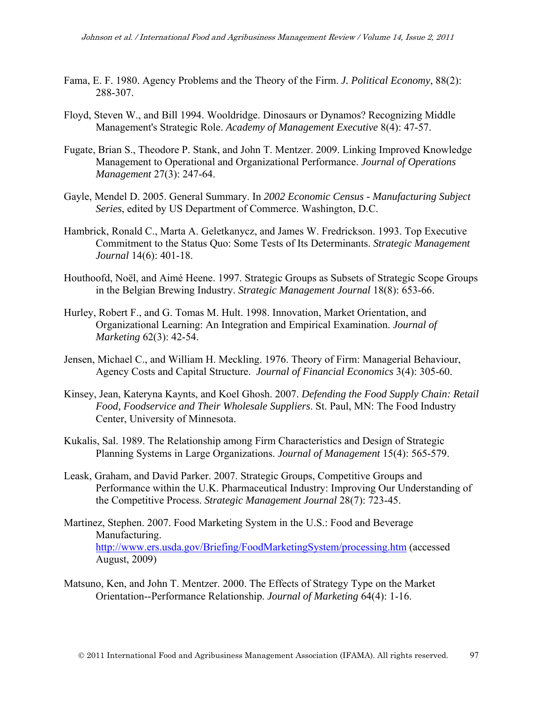- Fama, E. F. 1980. Agency Problems and the Theory of the Firm. *J. Political Economy*, 88(2): 288-307.
- Floyd, Steven W., and Bill 1994. Wooldridge. Dinosaurs or Dynamos? Recognizing Middle Management's Strategic Role. *Academy of Management Executive* 8(4): 47-57.
- Fugate, Brian S., Theodore P. Stank, and John T. Mentzer. 2009. Linking Improved Knowledge Management to Operational and Organizational Performance. *Journal of Operations Management* 27(3): 247-64.
- Gayle, Mendel D. 2005. General Summary. In *2002 Economic Census Manufacturing Subject Series*, edited by US Department of Commerce. Washington, D.C.
- Hambrick, Ronald C., Marta A. Geletkanycz, and James W. Fredrickson. 1993. Top Executive Commitment to the Status Quo: Some Tests of Its Determinants. *Strategic Management Journal* 14(6): 401-18.
- Houthoofd, Noël, and Aimé Heene. 1997. Strategic Groups as Subsets of Strategic Scope Groups in the Belgian Brewing Industry. *Strategic Management Journal* 18(8): 653-66.
- Hurley, Robert F., and G. Tomas M. Hult. 1998. Innovation, Market Orientation, and Organizational Learning: An Integration and Empirical Examination. *Journal of Marketing* 62(3): 42-54.
- Jensen, Michael C., and William H. Meckling. 1976. Theory of Firm: Managerial Behaviour, Agency Costs and Capital Structure. *Journal of Financial Economics* 3(4): 305-60.
- Kinsey, Jean, Kateryna Kaynts, and Koel Ghosh. 2007. *Defending the Food Supply Chain: Retail Food, Foodservice and Their Wholesale Suppliers*. St. Paul, MN: The Food Industry Center, University of Minnesota.
- Kukalis, Sal. 1989. The Relationship among Firm Characteristics and Design of Strategic Planning Systems in Large Organizations. *Journal of Management* 15(4): 565-579.
- Leask, Graham, and David Parker. 2007. Strategic Groups, Competitive Groups and Performance within the U.K. Pharmaceutical Industry: Improving Our Understanding of the Competitive Process. *Strategic Management Journal* 28(7): 723-45.
- Martinez, Stephen. 2007. Food Marketing System in the U.S.: Food and Beverage Manufacturing. http://www.ers.usda.gov/Briefing/FoodMarketingSystem/processing.htm (accessed August, 2009)
- Matsuno, Ken, and John T. Mentzer. 2000. The Effects of Strategy Type on the Market Orientation--Performance Relationship. *Journal of Marketing* 64(4): 1-16.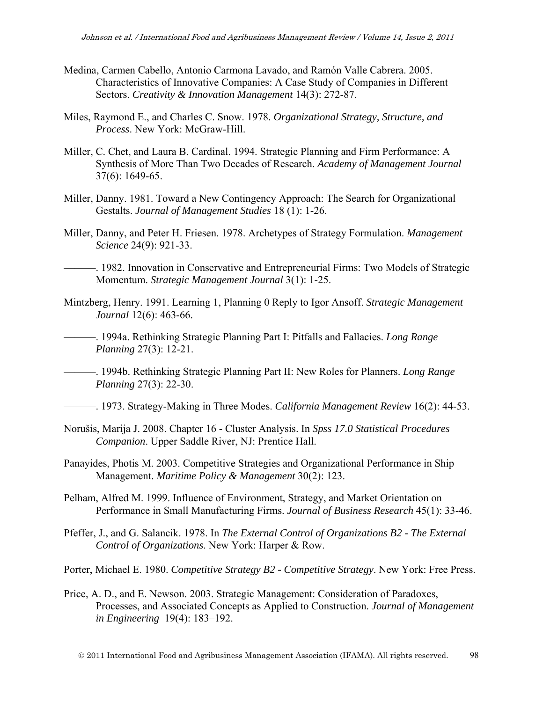- Medina, Carmen Cabello, Antonio Carmona Lavado, and Ramón Valle Cabrera. 2005. Characteristics of Innovative Companies: A Case Study of Companies in Different Sectors. *Creativity & Innovation Management* 14(3): 272-87.
- Miles, Raymond E., and Charles C. Snow. 1978. *Organizational Strategy, Structure, and Process*. New York: McGraw-Hill.
- Miller, C. Chet, and Laura B. Cardinal. 1994. Strategic Planning and Firm Performance: A Synthesis of More Than Two Decades of Research. *Academy of Management Journal*  37(6): 1649-65.
- Miller, Danny. 1981. Toward a New Contingency Approach: The Search for Organizational Gestalts. *Journal of Management Studies* 18 (1): 1-26.
- Miller, Danny, and Peter H. Friesen. 1978. Archetypes of Strategy Formulation. *Management Science* 24(9): 921-33.

———. 1982. Innovation in Conservative and Entrepreneurial Firms: Two Models of Strategic Momentum. *Strategic Management Journal* 3(1): 1-25.

- Mintzberg, Henry. 1991. Learning 1, Planning 0 Reply to Igor Ansoff. *Strategic Management Journal* 12(6): 463-66.
- ———. 1994a. Rethinking Strategic Planning Part I: Pitfalls and Fallacies. *Long Range Planning* 27(3): 12-21.

———. 1994b. Rethinking Strategic Planning Part II: New Roles for Planners. *Long Range Planning* 27(3): 22-30.

———. 1973. Strategy-Making in Three Modes. *California Management Review* 16(2): 44-53.

- Norušis, Marija J. 2008. Chapter 16 Cluster Analysis. In *Spss 17.0 Statistical Procedures Companion*. Upper Saddle River, NJ: Prentice Hall.
- Panayides, Photis M. 2003. Competitive Strategies and Organizational Performance in Ship Management. *Maritime Policy & Management* 30(2): 123.
- Pelham, Alfred M. 1999. Influence of Environment, Strategy, and Market Orientation on Performance in Small Manufacturing Firms. *Journal of Business Research* 45(1): 33-46.
- Pfeffer, J., and G. Salancik. 1978. In *The External Control of Organizations B2 The External Control of Organizations*. New York: Harper & Row.

Porter, Michael E. 1980. *Competitive Strategy B2 - Competitive Strategy*. New York: Free Press.

Price, A. D., and E. Newson. 2003. Strategic Management: Consideration of Paradoxes, Processes, and Associated Concepts as Applied to Construction. *Journal of Management in Engineering* 19(4): 183–192.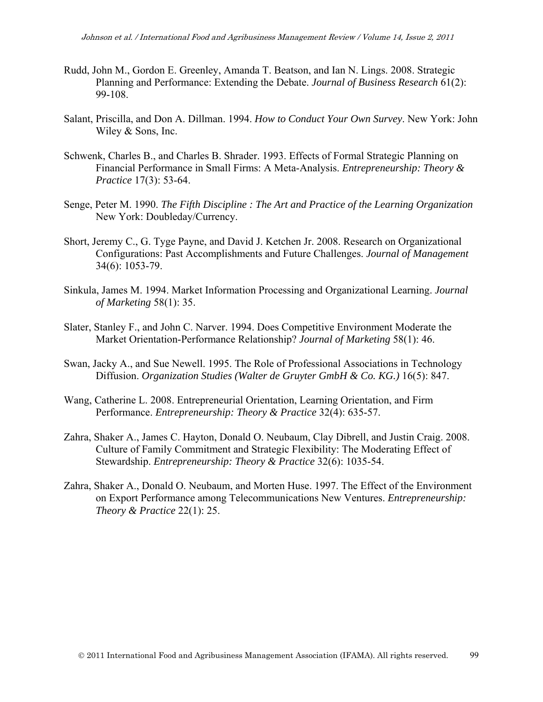- Rudd, John M., Gordon E. Greenley, Amanda T. Beatson, and Ian N. Lings. 2008. Strategic Planning and Performance: Extending the Debate. *Journal of Business Research* 61(2): 99-108.
- Salant, Priscilla, and Don A. Dillman. 1994. *How to Conduct Your Own Survey*. New York: John Wiley & Sons, Inc.
- Schwenk, Charles B., and Charles B. Shrader. 1993. Effects of Formal Strategic Planning on Financial Performance in Small Firms: A Meta-Analysis. *Entrepreneurship: Theory & Practice* 17(3): 53-64.
- Senge, Peter M. 1990. *The Fifth Discipline : The Art and Practice of the Learning Organization*  New York: Doubleday/Currency.
- Short, Jeremy C., G. Tyge Payne, and David J. Ketchen Jr. 2008. Research on Organizational Configurations: Past Accomplishments and Future Challenges. *Journal of Management*  34(6): 1053-79.
- Sinkula, James M. 1994. Market Information Processing and Organizational Learning. *Journal of Marketing* 58(1): 35.
- Slater, Stanley F., and John C. Narver. 1994. Does Competitive Environment Moderate the Market Orientation-Performance Relationship? *Journal of Marketing* 58(1): 46.
- Swan, Jacky A., and Sue Newell. 1995. The Role of Professional Associations in Technology Diffusion. *Organization Studies (Walter de Gruyter GmbH & Co. KG.)* 16(5): 847.
- Wang, Catherine L. 2008. Entrepreneurial Orientation, Learning Orientation, and Firm Performance. *Entrepreneurship: Theory & Practice* 32(4): 635-57.
- Zahra, Shaker A., James C. Hayton, Donald O. Neubaum, Clay Dibrell, and Justin Craig. 2008. Culture of Family Commitment and Strategic Flexibility: The Moderating Effect of Stewardship. *Entrepreneurship: Theory & Practice* 32(6): 1035-54.
- Zahra, Shaker A., Donald O. Neubaum, and Morten Huse. 1997. The Effect of the Environment on Export Performance among Telecommunications New Ventures. *Entrepreneurship: Theory & Practice* 22(1): 25.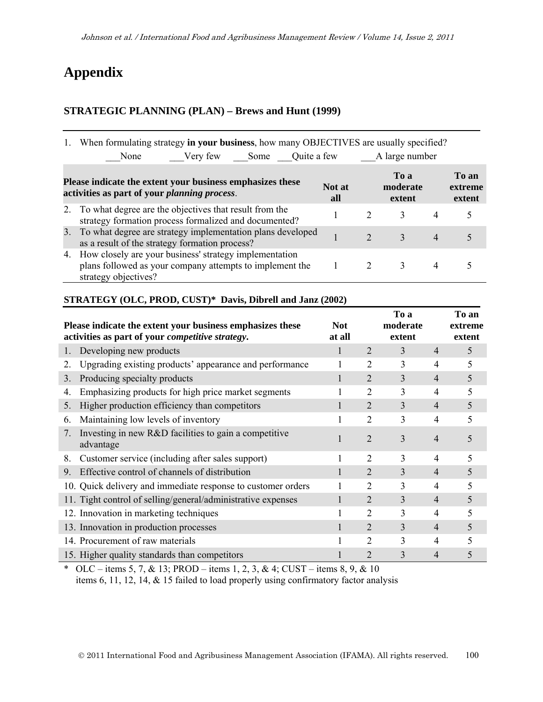# **Appendix**

## **STRATEGIC PLANNING (PLAN) – Brews and Hunt (1999)**

|                                                                                                                                                                                                | When formulating strategy in your business, how many OBJECTIVES are usually specified?                                                     |  |                |               |                |   |  |
|------------------------------------------------------------------------------------------------------------------------------------------------------------------------------------------------|--------------------------------------------------------------------------------------------------------------------------------------------|--|----------------|---------------|----------------|---|--|
|                                                                                                                                                                                                | Very few Some Quite a few<br>None                                                                                                          |  | A large number |               |                |   |  |
| To a<br>To an<br>Please indicate the extent your business emphasizes these<br>moderate<br>Not at<br>extreme<br>activities as part of your <i>planning process</i> .<br>extent<br>extent<br>all |                                                                                                                                            |  |                |               |                |   |  |
| 2.                                                                                                                                                                                             | To what degree are the objectives that result from the<br>strategy formation process formalized and documented?                            |  |                | $\mathcal{E}$ | $\overline{4}$ | 5 |  |
| 3.                                                                                                                                                                                             | To what degree are strategy implementation plans developed<br>as a result of the strategy formation process?                               |  | $\mathcal{D}$  | $\mathcal{Z}$ | $\overline{4}$ |   |  |
| 4.                                                                                                                                                                                             | How closely are your business' strategy implementation<br>plans followed as your company attempts to implement the<br>strategy objectives? |  |                | 3             | 4              |   |  |

## **STRATEGY (OLC, PROD, CUST)\* Davis, Dibrell and Janz (2002)**

|                                  | Please indicate the extent your business emphasizes these<br>activities as part of your competitive strategy. | <b>Not</b><br>at all |                | To a<br>moderate<br>extent |                | To an<br>extreme<br>extent |
|----------------------------------|---------------------------------------------------------------------------------------------------------------|----------------------|----------------|----------------------------|----------------|----------------------------|
|                                  | Developing new products                                                                                       |                      | 2              | 3                          | $\overline{4}$ | 5                          |
| 2.                               | Upgrading existing products' appearance and performance                                                       |                      | 2              | 3                          | $\overline{4}$ | 5                          |
| 3.                               | Producing specialty products                                                                                  |                      | 2              | 3                          | $\overline{4}$ | 5                          |
| 4.                               | Emphasizing products for high price market segments                                                           |                      | 2              | 3                          | 4              | 5                          |
| 5.                               | Higher production efficiency than competitors                                                                 |                      | 2              | 3                          | $\overline{4}$ | 5                          |
| 6.                               | Maintaining low levels of inventory                                                                           |                      | 2              | 3                          | 4              | 5                          |
| $7_{\scriptscriptstyle{\ddots}}$ | Investing in new R&D facilities to gain a competitive<br>advantage                                            |                      | $\overline{2}$ | 3                          | 4              |                            |
| 8.                               | Customer service (including after sales support)                                                              |                      | 2              | 3                          | 4              | 5                          |
| 9.                               | Effective control of channels of distribution                                                                 |                      | 2              | 3                          | 4              | 5                          |
|                                  | 10. Quick delivery and immediate response to customer orders                                                  |                      | 2              | 3                          | 4              | 5                          |
|                                  | 11. Tight control of selling/general/administrative expenses                                                  |                      | 2              | 3                          | $\overline{4}$ | 5                          |
|                                  | 12. Innovation in marketing techniques                                                                        |                      | 2              | 3                          | 4              | 5                          |
|                                  | 13. Innovation in production processes                                                                        |                      | 2              | $\overline{3}$             | $\overline{4}$ | 5                          |
|                                  | 14. Procurement of raw materials                                                                              |                      | 2              | 3                          | 4              |                            |
|                                  | 15. Higher quality standards than competitors                                                                 |                      | 2              | 3                          | 4              |                            |

\* OLC – items 5, 7, & 13; PROD – items 1, 2, 3, & 4; CUST – items 8, 9, & 10 items 6, 11, 12, 14, & 15 failed to load properly using confirmatory factor analysis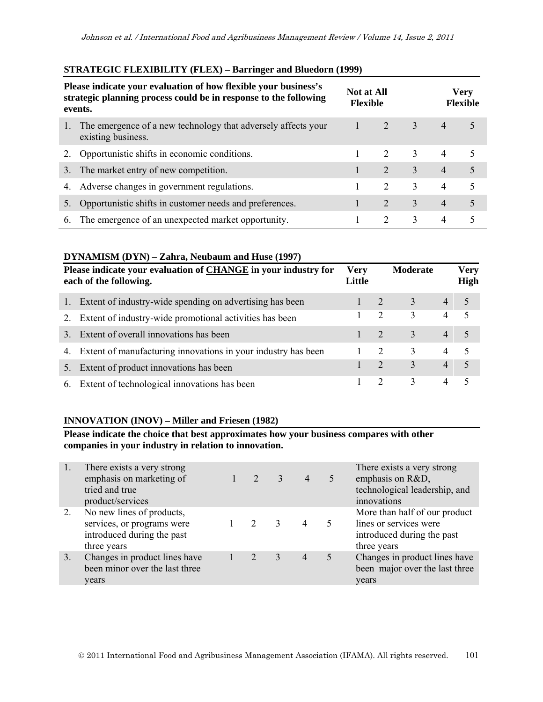## **STRATEGIC FLEXIBILITY (FLEX) – Barringer and Bluedorn (1999)**

| Please indicate your evaluation of how flexible your business's<br>strategic planning process could be in response to the following<br>events. |                                                                                     |  | <b>Not at All</b><br><b>Flexible</b> |                            | <b>Very</b><br><b>Flexible</b> |    |  |
|------------------------------------------------------------------------------------------------------------------------------------------------|-------------------------------------------------------------------------------------|--|--------------------------------------|----------------------------|--------------------------------|----|--|
|                                                                                                                                                | The emergence of a new technology that adversely affects your<br>existing business. |  |                                      | $\overline{\phantom{0}}$ 3 | $\overline{4}$                 | 5  |  |
| 2.                                                                                                                                             | Opportunistic shifts in economic conditions.                                        |  | 2                                    | $\mathcal{E}$              | $\overline{4}$                 | -5 |  |
| 3.                                                                                                                                             | The market entry of new competition.                                                |  | 2                                    | 3                          | $\overline{4}$                 | 5  |  |
|                                                                                                                                                | 4. Adverse changes in government regulations.                                       |  | $\mathcal{D}_{\mathcal{L}}$          | 3                          | 4                              | .5 |  |
|                                                                                                                                                | Opportunistic shifts in customer needs and preferences.                             |  | $\mathcal{L}$                        | 3                          | $\overline{4}$                 | 5  |  |
| 6.                                                                                                                                             | The emergence of an unexpected market opportunity.                                  |  | 2                                    | 3                          | $\overline{4}$                 | 5  |  |

## **DYNAMISM (DYN) – Zahra, Neubaum and Huse (1997)**

|    | Please indicate your evaluation of CHANGE in your industry for<br>each of the following. | <b>Very</b><br>Little |                             | Moderate |                | <b>Very</b><br>High      |
|----|------------------------------------------------------------------------------------------|-----------------------|-----------------------------|----------|----------------|--------------------------|
|    | Extent of industry-wide spending on advertising has been                                 |                       | $\angle 2$                  | 3        | $\overline{4}$ | 5                        |
|    | Extent of industry-wide promotional activities has been                                  |                       | 2                           | 3        | 4              | 5                        |
| 3  | Extent of overall innovations has been                                                   |                       | $\mathcal{L}$               | 3        | $\overline{4}$ | 5                        |
| 4. | Extent of manufacturing innovations in your industry has been                            |                       | $\mathcal{L}$               | 3        | $\overline{4}$ | $\overline{\mathcal{L}}$ |
|    | Extent of product innovations has been                                                   |                       | $\mathcal{D}_{\cdot}$       | 3        | 4              | $\overline{5}$           |
| 6. | Extent of technological innovations has been                                             |                       | $\mathcal{D}_{\mathcal{L}}$ | 3        | 4              | 5                        |

### **INNOVATION (INOV) – Miller and Friesen (1982)**

**Please indicate the choice that best approximates how your business compares with other companies in your industry in relation to innovation.** 

| There exists a very strong<br>There exists a very strong<br>emphasis on marketing of<br>emphasis on R&D,<br>$\mathcal{L}$<br>$\mathcal{E}$<br>$\overline{4}$<br>5<br>tried and true<br>product/services<br>innovations<br>No new lines of products,<br>2.<br>lines or services were<br>services, or programs were<br>$\mathcal{D}$<br>$\mathcal{R}$<br>4<br>introduced during the past<br>introduced during the past<br>three years<br>three years<br>Changes in product lines have<br>$\mathcal{L}$<br>3<br>5<br>3.<br>$\overline{4}$<br>been minor over the last three<br>years<br>years |  |  |  |                                                                 |
|--------------------------------------------------------------------------------------------------------------------------------------------------------------------------------------------------------------------------------------------------------------------------------------------------------------------------------------------------------------------------------------------------------------------------------------------------------------------------------------------------------------------------------------------------------------------------------------------|--|--|--|-----------------------------------------------------------------|
|                                                                                                                                                                                                                                                                                                                                                                                                                                                                                                                                                                                            |  |  |  | technological leadership, and                                   |
|                                                                                                                                                                                                                                                                                                                                                                                                                                                                                                                                                                                            |  |  |  | More than half of our product                                   |
|                                                                                                                                                                                                                                                                                                                                                                                                                                                                                                                                                                                            |  |  |  | Changes in product lines have<br>been major over the last three |